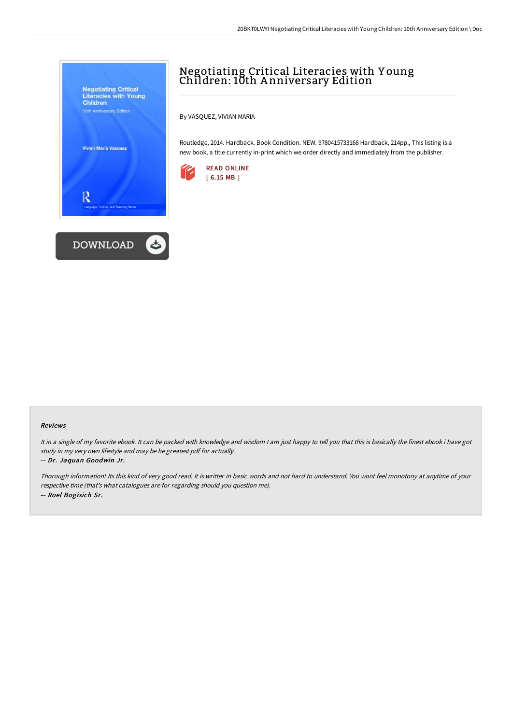

# Negotiating Critical Literacies with Y oung Children: 10th A nniversary Edition

By VASQUEZ, VIVIAN MARIA

Routledge, 2014. Hardback. Book Condition: NEW. 9780415733168 Hardback, 214pp., This listing is a new book, a title currently in-print which we order directly and immediately from the publisher.



#### Reviews

It in <sup>a</sup> single of my favorite ebook. It can be packed with knowledge and wisdom <sup>I</sup> am just happy to tell you that this is basically the finest ebook i have got study in my very own lifestyle and may be he greatest pdf for actually. -- Dr. Jaquan Goodwin Jr.

Thorough information! Its this kind of very good read. It is writter in basic words and not hard to understand. You wont feel monotony at anytime of your respective time (that's what catalogues are for regarding should you question me). -- Roel Bogisich Sr.